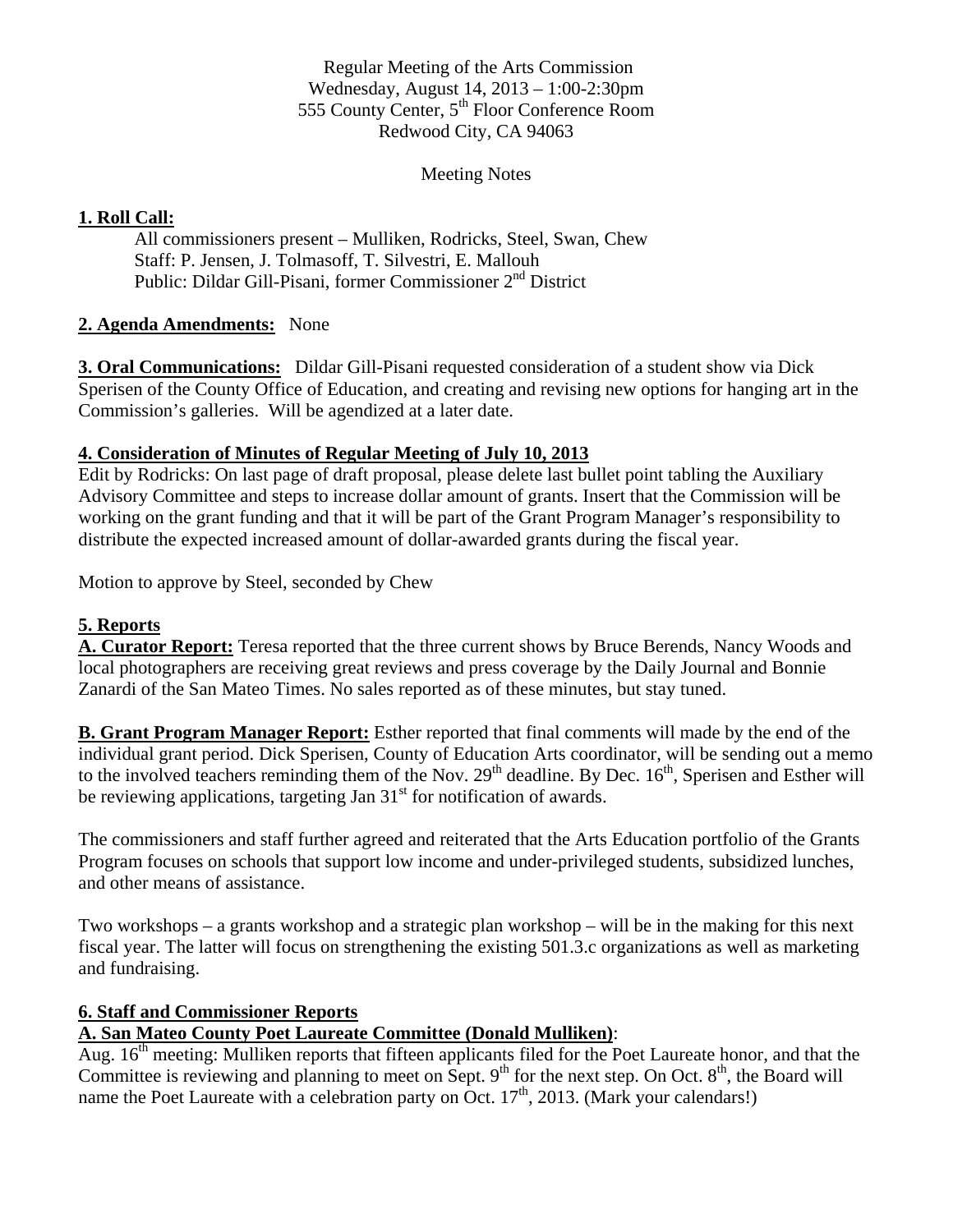Regular Meeting of the Arts Commission Wednesday, August 14, 2013 – 1:00-2:30pm 555 County Center, 5<sup>th</sup> Floor Conference Room Redwood City, CA 94063

#### Meeting Notes

### **1. Roll Call:**

All commissioners present – Mulliken, Rodricks, Steel, Swan, Chew Staff: P. Jensen, J. Tolmasoff, T. Silvestri, E. Mallouh Public: Dildar Gill-Pisani, former Commissioner 2nd District

### **2. Agenda Amendments:** None

**3. Oral Communications:** Dildar Gill-Pisani requested consideration of a student show via Dick Sperisen of the County Office of Education, and creating and revising new options for hanging art in the Commission's galleries. Will be agendized at a later date.

## **4. Consideration of Minutes of Regular Meeting of July 10, 2013**

Edit by Rodricks: On last page of draft proposal, please delete last bullet point tabling the Auxiliary Advisory Committee and steps to increase dollar amount of grants. Insert that the Commission will be working on the grant funding and that it will be part of the Grant Program Manager's responsibility to distribute the expected increased amount of dollar-awarded grants during the fiscal year.

Motion to approve by Steel, seconded by Chew

## **5. Reports**

**A. Curator Report:** Teresa reported that the three current shows by Bruce Berends, Nancy Woods and local photographers are receiving great reviews and press coverage by the Daily Journal and Bonnie Zanardi of the San Mateo Times. No sales reported as of these minutes, but stay tuned.

**B. Grant Program Manager Report:** Esther reported that final comments will made by the end of the individual grant period. Dick Sperisen, County of Education Arts coordinator, will be sending out a memo to the involved teachers reminding them of the Nov.  $29<sup>th</sup>$  deadline. By Dec.  $16<sup>th</sup>$ , Sperisen and Esther will be reviewing applications, targeting Jan  $31<sup>st</sup>$  for notification of awards.

The commissioners and staff further agreed and reiterated that the Arts Education portfolio of the Grants Program focuses on schools that support low income and under-privileged students, subsidized lunches, and other means of assistance.

Two workshops – a grants workshop and a strategic plan workshop – will be in the making for this next fiscal year. The latter will focus on strengthening the existing 501.3.c organizations as well as marketing and fundraising.

### **6. Staff and Commissioner Reports**

# **A. San Mateo County Poet Laureate Committee (Donald Mulliken)**:

Aug.  $16<sup>th</sup>$  meeting: Mulliken reports that fifteen applicants filed for the Poet Laureate honor, and that the Committee is reviewing and planning to meet on Sept.  $9<sup>th</sup>$  for the next step. On Oct.  $8<sup>th</sup>$ , the Board will name the Poet Laureate with a celebration party on Oct.  $17<sup>th</sup>$ , 2013. (Mark your calendars!)